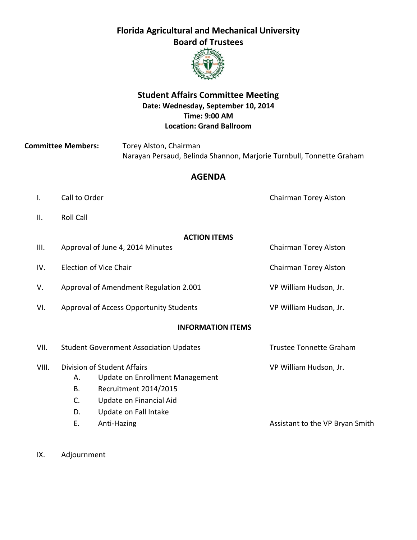# **Florida Agricultural and Mechanical University Board of Trustees**



### **Student Affairs Committee Meeting Date: Wednesday, September 10, 2014 Time: 9:00 AM Location: Grand Ballroom**

**Committee Members:** Torey Alston, Chairman Narayan Persaud, Belinda Shannon, Marjorie Turnbull, Tonnette Graham

### **AGENDA**

- I. Call to Order Chairman Torey Alston
- II. Roll Call

### **ACTION ITEMS**

| III.  |                                               | Approval of June 4, 2014 Minutes        | Chairman Torey Alston           |
|-------|-----------------------------------------------|-----------------------------------------|---------------------------------|
| IV.   |                                               | Election of Vice Chair                  | Chairman Torey Alston           |
| V.    | Approval of Amendment Regulation 2.001        |                                         | VP William Hudson, Jr.          |
| VI.   |                                               | Approval of Access Opportunity Students | VP William Hudson, Jr.          |
|       |                                               | <b>INFORMATION ITEMS</b>                |                                 |
| VII.  | <b>Student Government Association Updates</b> |                                         | <b>Trustee Tonnette Graham</b>  |
| VIII. | Division of Student Affairs                   |                                         | VP William Hudson, Jr.          |
|       | А.                                            | Update on Enrollment Management         |                                 |
|       | В.                                            | Recruitment 2014/2015                   |                                 |
|       | C.                                            | Update on Financial Aid                 |                                 |
|       | D.                                            | Update on Fall Intake                   |                                 |
|       | Е.                                            | Anti-Hazing                             | Assistant to the VP Bryan Smith |

IX. Adjournment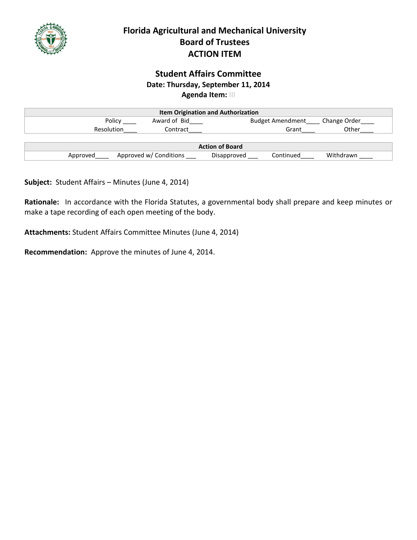

# **Florida Agricultural and Mechanical University Board of Trustees ACTION ITEM**

### **Student Affairs Committee Date: Thursday, September 11, 2014 Agenda Item:** III

| <b>Item Origination and Authorization</b> |                        |             |                         |              |
|-------------------------------------------|------------------------|-------------|-------------------------|--------------|
| Policy                                    | Award of Bid           |             | <b>Budget Amendment</b> | Change Order |
| Resolution                                | Contract               |             | Grant                   | Other        |
|                                           |                        |             |                         |              |
| <b>Action of Board</b>                    |                        |             |                         |              |
| Approved                                  | Approved w/ Conditions | Disapproved | Continued               | Withdrawn    |

**Subject:** Student Affairs – Minutes (June 4, 2014)

**Rationale:** In accordance with the Florida Statutes, a governmental body shall prepare and keep minutes or make a tape recording of each open meeting of the body.

**Attachments:** Student Affairs Committee Minutes (June 4, 2014)

**Recommendation:** Approve the minutes of June 4, 2014.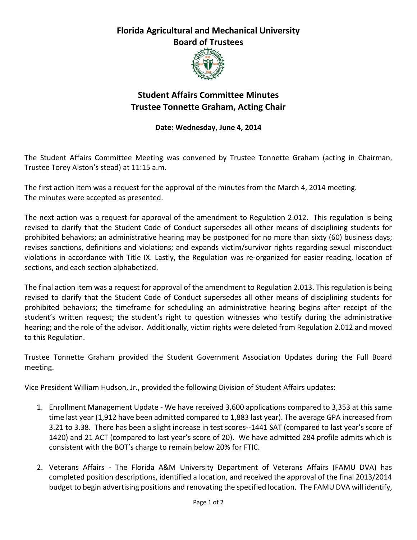# **Florida Agricultural and Mechanical University Board of Trustees**



# **Student Affairs Committee Minutes Trustee Tonnette Graham, Acting Chair**

### **Date: Wednesday, June 4, 2014**

The Student Affairs Committee Meeting was convened by Trustee Tonnette Graham (acting in Chairman, Trustee Torey Alston's stead) at 11:15 a.m.

The first action item was a request for the approval of the minutes from the March 4, 2014 meeting. The minutes were accepted as presented.

The next action was a request for approval of the amendment to Regulation 2.012. This regulation is being revised to clarify that the Student Code of Conduct supersedes all other means of disciplining students for prohibited behaviors; an administrative hearing may be postponed for no more than sixty (60) business days; revises sanctions, definitions and violations; and expands victim/survivor rights regarding sexual misconduct violations in accordance with Title IX. Lastly, the Regulation was re-organized for easier reading, location of sections, and each section alphabetized.

The final action item was a request for approval of the amendment to Regulation 2.013. This regulation is being revised to clarify that the Student Code of Conduct supersedes all other means of disciplining students for prohibited behaviors; the timeframe for scheduling an administrative hearing begins after receipt of the student's written request; the student's right to question witnesses who testify during the administrative hearing; and the role of the advisor. Additionally, victim rights were deleted from Regulation 2.012 and moved to this Regulation.

Trustee Tonnette Graham provided the Student Government Association Updates during the Full Board meeting.

Vice President William Hudson, Jr., provided the following Division of Student Affairs updates:

- 1. Enrollment Management Update We have received 3,600 applications compared to 3,353 at this same time last year (1,912 have been admitted compared to 1,883 last year). The average GPA increased from 3.21 to 3.38. There has been a slight increase in test scores--1441 SAT (compared to last year's score of 1420) and 21 ACT (compared to last year's score of 20). We have admitted 284 profile admits which is consistent with the BOT's charge to remain below 20% for FTIC.
- 2. Veterans Affairs The Florida A&M University Department of Veterans Affairs (FAMU DVA) has completed position descriptions, identified a location, and received the approval of the final 2013/2014 budget to begin advertising positions and renovating the specified location. The FAMU DVA will identify,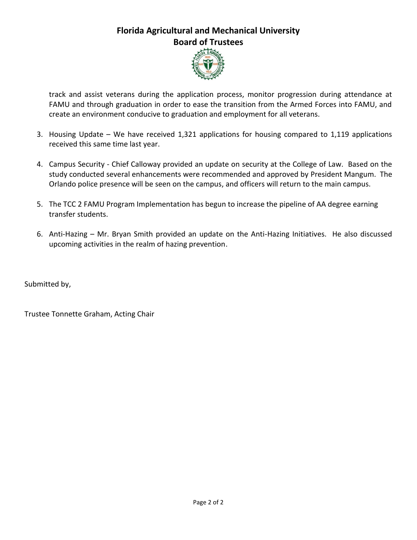# **Florida Agricultural and Mechanical University Board of Trustees**



track and assist veterans during the application process, monitor progression during attendance at FAMU and through graduation in order to ease the transition from the Armed Forces into FAMU, and create an environment conducive to graduation and employment for all veterans.

- 3. Housing Update We have received 1,321 applications for housing compared to 1,119 applications received this same time last year.
- 4. Campus Security Chief Calloway provided an update on security at the College of Law. Based on the study conducted several enhancements were recommended and approved by President Mangum. The Orlando police presence will be seen on the campus, and officers will return to the main campus.
- 5. The TCC 2 FAMU Program Implementation has begun to increase the pipeline of AA degree earning transfer students.
- 6. Anti-Hazing Mr. Bryan Smith provided an update on the Anti-Hazing Initiatives. He also discussed upcoming activities in the realm of hazing prevention.

Submitted by,

Trustee Tonnette Graham, Acting Chair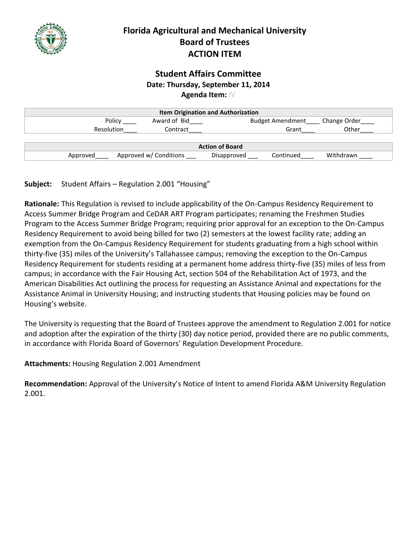

# **Florida Agricultural and Mechanical University Board of Trustees ACTION ITEM**

### **Student Affairs Committee Date: Thursday, September 11, 2014 Agenda Item:** IV

| <b>Item Origination and Authorization</b> |                        |                          |              |  |
|-------------------------------------------|------------------------|--------------------------|--------------|--|
| Policy                                    | Award of Bid           | <b>Budget Amendment</b>  | Change Order |  |
| <b>Resolution</b>                         | Contract               | Grant                    | Other        |  |
|                                           |                        |                          |              |  |
| <b>Action of Board</b>                    |                        |                          |              |  |
| Approved                                  | Approved w/ Conditions | Continued<br>Disapproved | Withdrawn    |  |

**Subject:** Student Affairs – Regulation 2.001 "Housing"

**Rationale:** This Regulation is revised to include applicability of the On-Campus Residency Requirement to Access Summer Bridge Program and CeDAR ART Program participates; renaming the Freshmen Studies Program to the Access Summer Bridge Program; requiring prior approval for an exception to the On-Campus Residency Requirement to avoid being billed for two (2) semesters at the lowest facility rate; adding an exemption from the On-Campus Residency Requirement for students graduating from a high school within thirty-five (35) miles of the University's Tallahassee campus; removing the exception to the On-Campus Residency Requirement for students residing at a permanent home address thirty-five (35) miles of less from campus; in accordance with the Fair Housing Act, section 504 of the Rehabilitation Act of 1973, and the American Disabilities Act outlining the process for requesting an Assistance Animal and expectations for the Assistance Animal in University Housing; and instructing students that Housing policies may be found on Housing's website.

The University is requesting that the Board of Trustees approve the amendment to Regulation 2.001 for notice and adoption after the expiration of the thirty (30) day notice period, provided there are no public comments, in accordance with Florida Board of Governors' Regulation Development Procedure.

**Attachments:** Housing Regulation 2.001 Amendment

**Recommendation:** Approval of the University's Notice of Intent to amend Florida A&M University Regulation 2.001.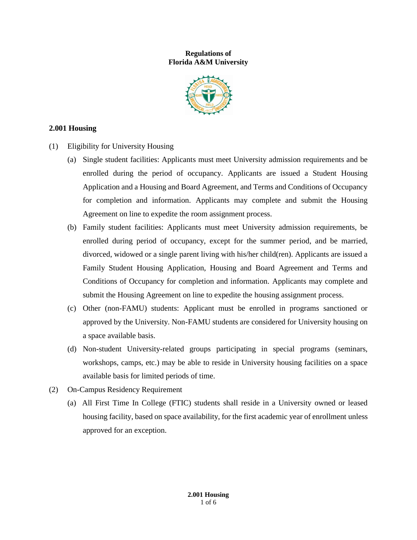#### **Regulations of Florida A&M University**



#### **2.001 Housing**

- (1) Eligibility for University Housing
	- (a) Single student facilities: Applicants must meet University admission requirements and be enrolled during the period of occupancy. Applicants are issued a Student Housing Application and a Housing and Board Agreement, and Terms and Conditions of Occupancy for completion and information. Applicants may complete and submit the Housing Agreement on line to expedite the room assignment process.
	- (b) Family student facilities: Applicants must meet University admission requirements, be enrolled during period of occupancy, except for the summer period, and be married, divorced, widowed or a single parent living with his/her child(ren). Applicants are issued a Family Student Housing Application, Housing and Board Agreement and Terms and Conditions of Occupancy for completion and information. Applicants may complete and submit the Housing Agreement on line to expedite the housing assignment process.
	- (c) Other (non-FAMU) students: Applicant must be enrolled in programs sanctioned or approved by the University. Non-FAMU students are considered for University housing on a space available basis.
	- (d) Non-student University-related groups participating in special programs (seminars, workshops, camps, etc.) may be able to reside in University housing facilities on a space available basis for limited periods of time.
- (2) On-Campus Residency Requirement
	- (a) All First Time In College (FTIC) students shall reside in a University owned or leased housing facility, based on space availability, for the first academic year of enrollment unless approved for an exception.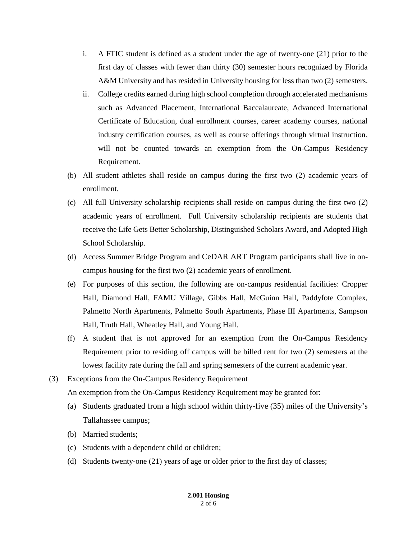- i. A FTIC student is defined as a student under the age of twenty-one (21) prior to the first day of classes with fewer than thirty (30) semester hours recognized by Florida A&M University and has resided in University housing for less than two (2) semesters.
- ii. College credits earned during high school completion through accelerated mechanisms such as Advanced Placement, International Baccalaureate, Advanced International Certificate of Education, dual enrollment courses, career academy courses, national industry certification courses, as well as course offerings through virtual instruction, will not be counted towards an exemption from the On-Campus Residency Requirement.
- (b) All student athletes shall reside on campus during the first two (2) academic years of enrollment.
- (c) All full University scholarship recipients shall reside on campus during the first two (2) academic years of enrollment. Full University scholarship recipients are students that receive the Life Gets Better Scholarship, Distinguished Scholars Award, and Adopted High School Scholarship.
- (d) Access Summer Bridge Program and CeDAR ART Program participants shall live in oncampus housing for the first two (2) academic years of enrollment.
- (e) For purposes of this section, the following are on-campus residential facilities: Cropper Hall, Diamond Hall, FAMU Village, Gibbs Hall, McGuinn Hall, Paddyfote Complex, Palmetto North Apartments, Palmetto South Apartments, Phase III Apartments, Sampson Hall, Truth Hall, Wheatley Hall, and Young Hall.
- (f) A student that is not approved for an exemption from the On-Campus Residency Requirement prior to residing off campus will be billed rent for two (2) semesters at the lowest facility rate during the fall and spring semesters of the current academic year.
- (3) Exceptions from the On-Campus Residency Requirement

An exemption from the On-Campus Residency Requirement may be granted for:

- (a) Students graduated from a high school within thirty-five (35) miles of the University's Tallahassee campus;
- (b) Married students;
- (c) Students with a dependent child or children;
- (d) Students twenty-one (21) years of age or older prior to the first day of classes;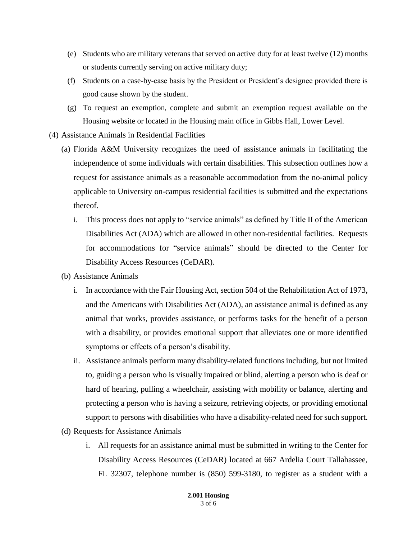- (e) Students who are military veterans that served on active duty for at least twelve (12) months or students currently serving on active military duty;
- (f) Students on a case-by-case basis by the President or President's designee provided there is good cause shown by the student.
- (g) To request an exemption, complete and submit an exemption request available on the Housing website or located in the Housing main office in Gibbs Hall, Lower Level.
- (4) Assistance Animals in Residential Facilities
	- (a) Florida A&M University recognizes the need of assistance animals in facilitating the independence of some individuals with certain disabilities. This subsection outlines how a request for assistance animals as a reasonable accommodation from the no-animal policy applicable to University on-campus residential facilities is submitted and the expectations thereof.
		- i. This process does not apply to "service animals" as defined by Title II of the American Disabilities Act (ADA) which are allowed in other non-residential facilities. Requests for accommodations for "service animals" should be directed to the Center for Disability Access Resources (CeDAR).
	- (b) Assistance Animals
		- i. In accordance with the Fair Housing Act, section 504 of the Rehabilitation Act of 1973, and the Americans with Disabilities Act (ADA), an assistance animal is defined as any animal that works, provides assistance, or performs tasks for the benefit of a person with a disability, or provides emotional support that alleviates one or more identified symptoms or effects of a person's disability.
		- ii. Assistance animals perform many disability-related functions including, but not limited to, guiding a person who is visually impaired or blind, alerting a person who is deaf or hard of hearing, pulling a wheelchair, assisting with mobility or balance, alerting and protecting a person who is having a seizure, retrieving objects, or providing emotional support to persons with disabilities who have a disability-related need for such support.
	- (d) Requests for Assistance Animals
		- i. All requests for an assistance animal must be submitted in writing to the Center for Disability Access Resources (CeDAR) located at 667 Ardelia Court Tallahassee, FL 32307, telephone number is (850) 599-3180, to register as a student with a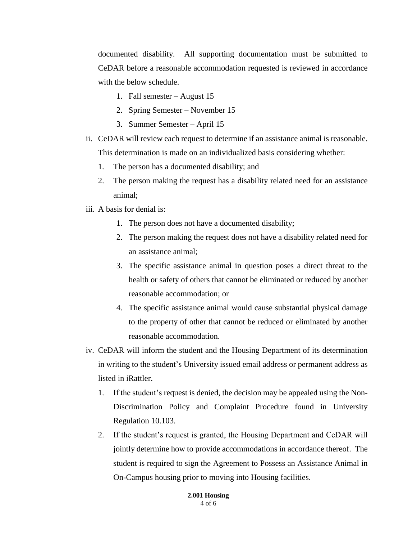documented disability. All supporting documentation must be submitted to CeDAR before a reasonable accommodation requested is reviewed in accordance with the below schedule.

- 1. Fall semester August 15
- 2. Spring Semester November 15
- 3. Summer Semester April 15
- ii. CeDAR will review each request to determine if an assistance animal is reasonable. This determination is made on an individualized basis considering whether:
	- 1. The person has a documented disability; and
	- 2. The person making the request has a disability related need for an assistance animal;
- iii. A basis for denial is:
	- 1. The person does not have a documented disability;
	- 2. The person making the request does not have a disability related need for an assistance animal;
	- 3. The specific assistance animal in question poses a direct threat to the health or safety of others that cannot be eliminated or reduced by another reasonable accommodation; or
	- 4. The specific assistance animal would cause substantial physical damage to the property of other that cannot be reduced or eliminated by another reasonable accommodation.
- iv. CeDAR will inform the student and the Housing Department of its determination in writing to the student's University issued email address or permanent address as listed in iRattler.
	- 1. If the student's request is denied, the decision may be appealed using the Non-Discrimination Policy and Complaint Procedure found in University Regulation 10.103.
	- 2. If the student's request is granted, the Housing Department and CeDAR will jointly determine how to provide accommodations in accordance thereof. The student is required to sign the Agreement to Possess an Assistance Animal in On-Campus housing prior to moving into Housing facilities.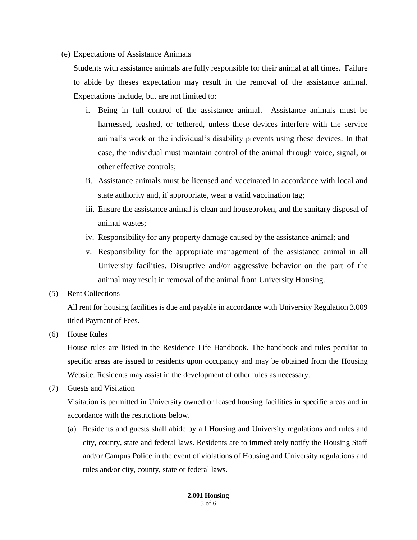(e) Expectations of Assistance Animals

Students with assistance animals are fully responsible for their animal at all times. Failure to abide by theses expectation may result in the removal of the assistance animal. Expectations include, but are not limited to:

- i. Being in full control of the assistance animal. Assistance animals must be harnessed, leashed, or tethered, unless these devices interfere with the service animal's work or the individual's disability prevents using these devices. In that case, the individual must maintain control of the animal through voice, signal, or other effective controls;
- ii. Assistance animals must be licensed and vaccinated in accordance with local and state authority and, if appropriate, wear a valid vaccination tag;
- iii. Ensure the assistance animal is clean and housebroken, and the sanitary disposal of animal wastes;
- iv. Responsibility for any property damage caused by the assistance animal; and
- v. Responsibility for the appropriate management of the assistance animal in all University facilities. Disruptive and/or aggressive behavior on the part of the animal may result in removal of the animal from University Housing.
- (5) Rent Collections

All rent for housing facilities is due and payable in accordance with University Regulation 3.009 titled Payment of Fees.

(6) House Rules

House rules are listed in the Residence Life Handbook. The handbook and rules peculiar to specific areas are issued to residents upon occupancy and may be obtained from the Housing Website. Residents may assist in the development of other rules as necessary.

(7) Guests and Visitation

Visitation is permitted in University owned or leased housing facilities in specific areas and in accordance with the restrictions below.

(a) Residents and guests shall abide by all Housing and University regulations and rules and city, county, state and federal laws. Residents are to immediately notify the Housing Staff and/or Campus Police in the event of violations of Housing and University regulations and rules and/or city, county, state or federal laws.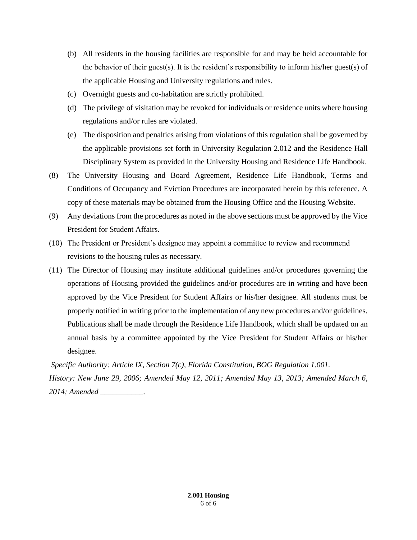- (b) All residents in the housing facilities are responsible for and may be held accountable for the behavior of their guest(s). It is the resident's responsibility to inform his/her guest(s) of the applicable Housing and University regulations and rules.
- (c) Overnight guests and co-habitation are strictly prohibited.
- (d) The privilege of visitation may be revoked for individuals or residence units where housing regulations and/or rules are violated.
- (e) The disposition and penalties arising from violations of this regulation shall be governed by the applicable provisions set forth in University Regulation 2.012 and the Residence Hall Disciplinary System as provided in the University Housing and Residence Life Handbook.
- (8) The University Housing and Board Agreement, Residence Life Handbook, Terms and Conditions of Occupancy and Eviction Procedures are incorporated herein by this reference. A copy of these materials may be obtained from the Housing Office and the Housing Website.
- (9) Any deviations from the procedures as noted in the above sections must be approved by the Vice President for Student Affairs.
- (10) The President or President's designee may appoint a committee to review and recommend revisions to the housing rules as necessary.
- (11) The Director of Housing may institute additional guidelines and/or procedures governing the operations of Housing provided the guidelines and/or procedures are in writing and have been approved by the Vice President for Student Affairs or his/her designee. All students must be properly notified in writing prior to the implementation of any new procedures and/or guidelines. Publications shall be made through the Residence Life Handbook, which shall be updated on an annual basis by a committee appointed by the Vice President for Student Affairs or his/her designee.

*Specific Authority: Article IX, Section 7(c), Florida Constitution, BOG Regulation 1.001. History: New June 29, 2006; Amended May 12, 2011; Amended May 13, 2013; Amended March 6, 2014; Amended \_\_\_\_\_\_\_\_\_\_\_.*